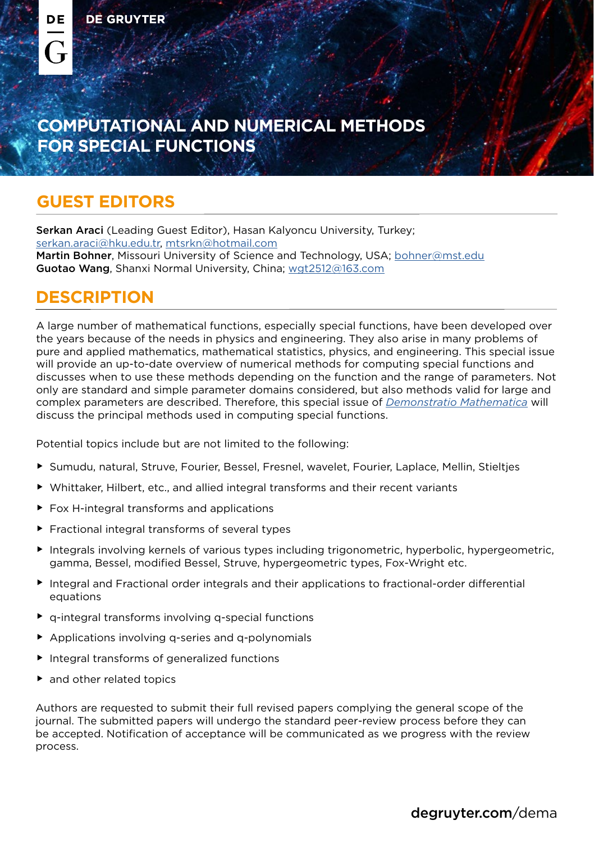DE

 $\overline{a}$ 

## **COMPUTATIONAL AND NUMERICAL METHODS FOR SPECIAL FUNCTIONS**

## **GUEST EDITORS**

Serkan Araci (Leading Guest Editor), Hasan Kalyoncu University, Turkey; [serkan.araci@hku.edu.tr](mailto:serkan.araci%40hku.edu.tr?subject=), [mtsrkn@hotmail.com](mailto:mtsrkn%40hotmail.com?subject=) Martin Bohner, Missouri University of Science and Technology, USA; [bohner@mst.edu](mailto:bohner%40mst.edu?subject=) Guotao Wang, Shanxi Normal University, China; [wgt2512@163.com](mailto:wgt2512%40163.com?subject=)

## **DESCRIPTION**

A large number of mathematical functions, especially special functions, have been developed over the years because of the needs in physics and engineering. They also arise in many problems of pure and applied mathematics, mathematical statistics, physics, and engineering. This special issue will provide an up-to-date overview of numerical methods for computing special functions and discusses when to use these methods depending on the function and the range of parameters. Not only are standard and simple parameter domains considered, but also methods valid for large and complex parameters are described. Therefore, this special issue of *[Demonstratio Mathematica](http://www.degruyter.com/dema)* will discuss the principal methods used in computing special functions.

Potential topics include but are not limited to the following:

- f Sumudu, natural, Struve, Fourier, Bessel, Fresnel, wavelet, Fourier, Laplace, Mellin, Stieltjes
- Whittaker, Hilbert, etc., and allied integral transforms and their recent variants
- Fox H-integral transforms and applications
- $\blacktriangleright$  Fractional integral transforms of several types
- $\blacktriangleright$  Integrals involving kernels of various types including trigonometric, hyperbolic, hypergeometric, gamma, Bessel, modified Bessel, Struve, hypergeometric types, Fox-Wright etc.
- $\blacktriangleright$  Integral and Fractional order integrals and their applications to fractional-order differential equations
- $\blacktriangleright$  q-integral transforms involving q-special functions
- $\blacktriangleright$  Applications involving q-series and q-polynomials
- $\blacktriangleright$  Integral transforms of generalized functions
- and other related topics

Authors are requested to submit their full revised papers complying the general scope of the journal. The submitted papers will undergo the standard peer-review process before they can be accepted. Notification of acceptance will be communicated as we progress with the review process.

[degruyter.com](https://www.degruyter.com/dema)/dema